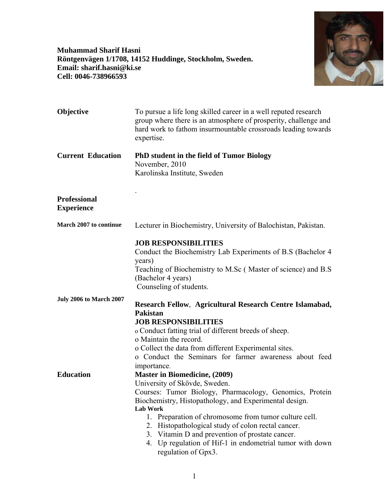**Muhammad Sharif Hasni Röntgenvägen 1/1708, 14152 Huddinge, Stockholm, Sweden. Email: sharif.hasni@ki.se Cell: 0046-738966593** 



| Objective                                | To pursue a life long skilled career in a well reputed research<br>group where there is an atmosphere of prosperity, challenge and<br>hard work to fathom insurmountable crossroads leading towards<br>expertise.                                                                                                                                                                                                                                                                          |
|------------------------------------------|--------------------------------------------------------------------------------------------------------------------------------------------------------------------------------------------------------------------------------------------------------------------------------------------------------------------------------------------------------------------------------------------------------------------------------------------------------------------------------------------|
| <b>Current Education</b>                 | <b>PhD</b> student in the field of Tumor Biology<br>November, 2010<br>Karolinska Institute, Sweden                                                                                                                                                                                                                                                                                                                                                                                         |
| <b>Professional</b><br><b>Experience</b> |                                                                                                                                                                                                                                                                                                                                                                                                                                                                                            |
| March 2007 to continue                   | Lecturer in Biochemistry, University of Balochistan, Pakistan.                                                                                                                                                                                                                                                                                                                                                                                                                             |
| <b>July 2006 to March 2007</b>           | <b>JOB RESPONSIBILITIES</b><br>Conduct the Biochemistry Lab Experiments of B.S (Bachelor 4<br>years)<br>Teaching of Biochemistry to M.Sc (Master of science) and B.S.<br>(Bachelor 4 years)<br>Counseling of students.<br>Research Fellow, Agricultural Research Centre Islamabad,<br><b>Pakistan</b><br><b>JOB RESPONSIBILITIES</b><br>o Conduct fatting trial of different breeds of sheep.<br>o Maintain the record.                                                                    |
|                                          | o Collect the data from different Experimental sites.<br>o Conduct the Seminars for farmer awareness about feed                                                                                                                                                                                                                                                                                                                                                                            |
| <b>Education</b>                         | importance.<br><b>Master in Biomedicine, (2009)</b><br>University of Skövde, Sweden.<br>Courses: Tumor Biology, Pharmacology, Genomics, Protein<br>Biochemistry, Histopathology, and Experimental design.<br><b>Lab Work</b><br>Preparation of chromosome from tumor culture cell.<br>1.<br>Histopathological study of colon rectal cancer.<br>2.<br>3. Vitamin D and prevention of prostate cancer.<br>Up regulation of Hif-1 in endometrial tumor with down<br>4.<br>regulation of Gpx3. |